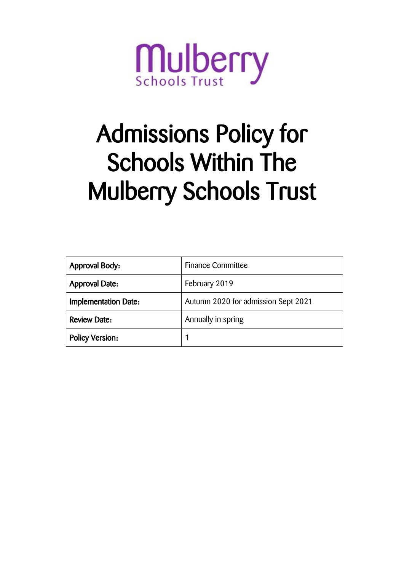

# Admissions Policy for Schools Within The Mulberry Schools Trust

| <b>Approval Body:</b>       | <b>Finance Committee</b>            |
|-----------------------------|-------------------------------------|
| <b>Approval Date:</b>       | February 2019                       |
| <b>Implementation Date:</b> | Autumn 2020 for admission Sept 2021 |
| <b>Review Date:</b>         | Annually in spring                  |
| <b>Policy Version:</b>      |                                     |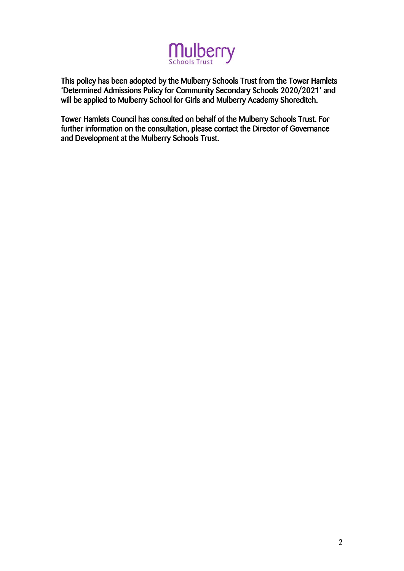

This policy has been adopted by the Mulberry Schools Trust from the Tower Hamlets 'Determined Admissions Policy for Community Secondary Schools 2020/2021' and will be applied to Mulberry School for Girls and Mulberry Academy Shoreditch.

Tower Hamlets Council has consulted on behalf of the Mulberry Schools Trust. For further information on the consultation, please contact the Director of Governance and Development at the Mulberry Schools Trust.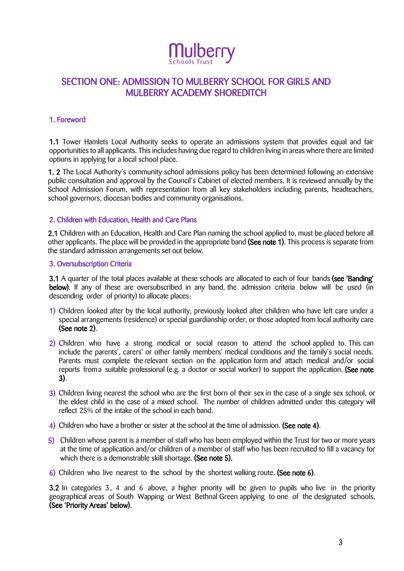

## SECTION ONE: ADMISSION TO MULBERRY SCHOOL FOR GIRLS AND MULBERRY ACADEMY SHOREDITCH

#### 1. Foreword

1.1 Tower Hamlets Local Authority seeks to operate an admissions system that provides equal and fair opportunities to all applicants. This includes having due regard to children living in areas where there are limited options in applying for a local school place.

1. 2 The Local Authority's community school admissions policy has been determined following an extensive public consultation and approval by the Council's Cabinet of elected members. It is reviewed annually by the School Admission Forum, with representation from all key stakeholders including parents, headteachers, school governors, diocesan bodies and community organisations.

#### 2. Children with Education, Health and Care Plans

2.1 Children with an Education, Health and Care Plan naming the school applied to, must be placed before all other applicants. The place will be provided in the appropriate band (See note 1). This process is separate from the standard admission arrangements set out below.

#### 3. Oversubscription Criteria

3.1 A quarter of the total places available at these schools are allocated to each of four bands (see 'Banding' below). If any of these are oversubscribed in any band, the admission criteria below will be used (in descending order of priority) to allocate places:

- 1) Children looked after by the local authority, previously looked after children who have left care under a special arrangements (residence) or special guardianship order, or those adopted from local authority care (See note 2).
- 2) Children who have a strong medical or social reason to attend the school applied to. This can include the parents', carers' or other family members' medical conditions and the family's social needs. Parents must complete the relevant section on the application form and attach medical and/or social reports froma suitable professional (e.g. a doctor or social worker) to support the application. (See note 3).
- 3) Children living nearest the school who are the first born of their sex in the case of a single sex school, or the eldest child in the case of a mixed school. The number of children admitted under this category will reflect 25% of the intake of the school in each band.
- 4) Children who have a brother or sister at the school at the time of admission. (See note 4).
- 5) Children whose parent is a member of staff who has been employed within the Trust for two or more years at the time of application and/or children of a member of staff who has been recruited to fill a vacancy for which there is a demonstrable skill shortage. (See note 5).
- 6) Children who live nearest to the school by the shortest walking route. (See note 6).

3.2 In categories 3, 4 and 6 above, a higher priority will be given to pupils who live in the priority geographical areas of South Wapping or West Bethnal Green applying to one of the designated schools. (See 'Priority Areas' below).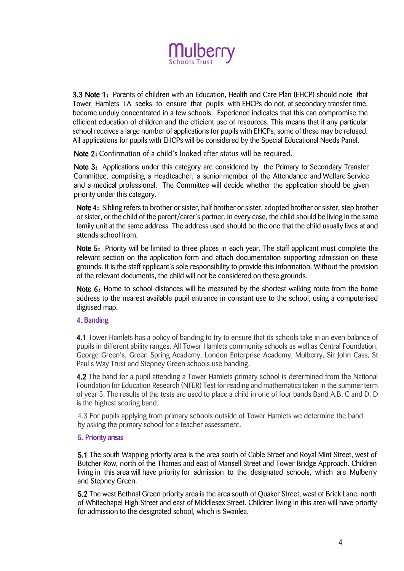

3.3 Note 1: Parents of children with an Education, Health and Care Plan (EHCP) should note that Tower Hamlets LA seeks to ensure that pupils with EHCPs do not, at secondary transfer time, become unduly concentrated in a few schools. Experience indicates that this can compromise the efficient education of children and the efficient use of resources. This means that if any particular school receives a large number of applications for pupils with EHCPs, some of these may be refused. All applications for pupils with EHCPs will be considered by the Special Educational Needs Panel.

Note 2: Confirmation of a child's looked after status will be required.

Note 3: Applications under this category are considered by the Primary to Secondary Transfer Committee, comprising a Headteacher, a senior member of the Attendance and Welfare Service and a medical professional. The Committee will decide whether the application should be given priority under this category.

Note 4: Sibling refers to brother or sister, half brother or sister, adopted brother or sister, step brother or sister, or the child of the parent/carer's partner. In every case, the child should be living in the same family unit at the same address. The address used should be the one that the child usually lives at and attends school from.

Note 5: Priority will be limited to three places in each year. The staff applicant must complete the relevant section on the application form and attach documentation supporting admission on these grounds. It is the staff applicant's sole responsibility to provide this information. Without the provision of the relevant documents, the child will not be considered on these grounds.

Note 6: Home to school distances will be measured by the shortest walking route from the home address to the nearest available pupil entrance in constant use to the school, using a computerised digitised map.

#### 4. Banding

4.1 Tower Hamlets has a policy of banding to try to ensure that its schools take in an even balance of pupils in different ability ranges. All Tower Hamlets community schools as well as Central Foundation, George Green's, Green Spring Academy, London Enterprise Academy, Mulberry, Sir John Cass, St Paul's Way Trust and Stepney Green schools use banding.

4.2 The band for a pupil attending a Tower Hamlets primary school is determined from the National Foundation for Education Research (NFER) Test for reading and mathematics taken in the summer term of year 5. The results of the tests are used to place a child in one of four bands Band A,B, C and D. D is the highest scoring band

4.3 For pupils applying from primary schools outside of Tower Hamlets we determine the band by asking the primary school for a teacher assessment.

#### 5. Priority areas

5.1 The south Wapping priority area is the area south of Cable Street and Royal Mint Street, west of Butcher Row, north of the Thames and east of Mansell Street and Tower Bridge Approach. Children living in this area will have priority for admission to the designated schools, which are Mulberry and Stepney Green.

5.2 The west Bethnal Green priority area is the area south of Quaker Street, west of Brick Lane, north of Whitechapel High Street and east of Middlesex Street. Children living in this area will have priority for admission to the designated school, which is Swanlea.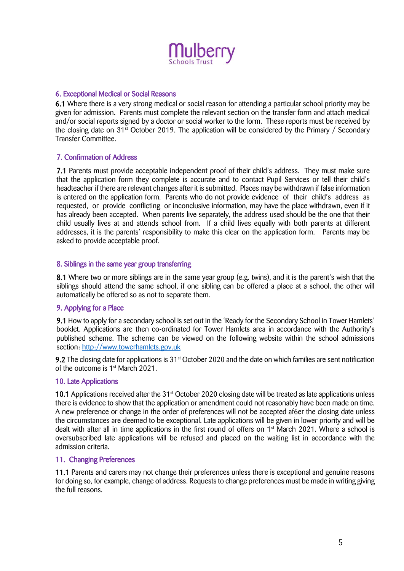

#### 6. Exceptional Medical or Social Reasons

6.1 Where there is a very strong medical or social reason for attending a particular school priority may be given for admission. Parents must complete the relevant section on the transfer form and attach medical and/or social reports signed by a doctor or social worker to the form. These reports must be received by the closing date on  $31<sup>st</sup>$  October 2019. The application will be considered by the Primary / Secondary Transfer Committee.

#### 7. Confirmation of Address

7.1 Parents must provide acceptable independent proof of their child's address. They must make sure that the application form they complete is accurate and to contact Pupil Services or tell their child's headteacher if there are relevant changes after it is submitted. Places may be withdrawn if false information is entered on the application form. Parents who do not provide evidence of their child's address as requested, or provide conflicting or inconclusive information, may have the place withdrawn, even if it has already been accepted. When parents live separately, the address used should be the one that their child usually lives at and attends school from. If a child lives equally with both parents at different addresses, it is the parents' responsibility to make this clear on the application form. Parents may be asked to provide acceptable proof.

#### 8. Siblings in the same year group transferring

8.1 Where two or more siblings are in the same year group (e.g. twins), and it is the parent's wish that the siblings should attend the same school, if one sibling can be offered a place at a school, the other will automatically be offered so as not to separate them.

#### 9. Applying for a Place

9.1 How to apply for a secondary school is set out in the 'Ready for the Secondary School in Tower Hamlets' booklet. Applications are then co-ordinated for Tower Hamlets area in accordance with the Authority's published scheme. The scheme can be viewed on the following website within the school admissions section: http://www.towerhamlets.gov.uk

9.2 The closing date for applications is 31<sup>st</sup> October 2020 and the date on which families are sent notification of the outcome is 1<sup>st</sup> March 2021.

#### 10. Late Applications

10.1 Applications received after the 31<sup>st</sup> October 2020 closing date will be treated as late applications unless there is evidence to show that the application or amendment could not reasonably have been made on time. A new preference or change in the order of preferences will not be accepted af6er the closing date unless the circumstances are deemed to be exceptional. Late applications will be given in lower priority and will be dealt with after all in time applications in the first round of offers on 1<sup>st</sup> March 2021. Where a school is oversubscribed late applications will be refused and placed on the waiting list in accordance with the admission criteria.

#### 11. Changing Preferences

11.1 Parents and carers may not change their preferences unless there is exceptional and genuine reasons for doing so, for example, change of address. Requests to change preferences must be made in writing giving the full reasons.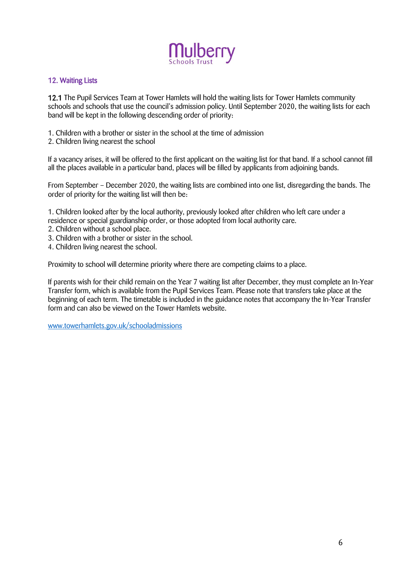

#### 12. Waiting Lists

12.1 The Pupil Services Team at Tower Hamlets will hold the waiting lists for Tower Hamlets community schools and schools that use the council's admission policy. Until September 2020, the waiting lists for each band will be kept in the following descending order of priority:

- 1. Children with a brother or sister in the school at the time of admission
- 2. Children living nearest the school

If a vacancy arises, it will be offered to the first applicant on the waiting list for that band. If a school cannot fill all the places available in a particular band, places will be filled by applicants from adjoining bands.

From September – December 2020, the waiting lists are combined into one list, disregarding the bands. The order of priority for the waiting list will then be:

1. Children looked after by the local authority, previously looked after children who left care under a residence or special guardianship order, or those adopted from local authority care.

- 2. Children without a school place.
- 3. Children with a brother or sister in the school.
- 4. Children living nearest the school.

Proximity to school will determine priority where there are competing claims to a place.

If parents wish for their child remain on the Year 7 waiting list after December, they must complete an In-Year Transfer form, which is available from the Pupil Services Team. Please note that transfers take place at the beginning of each term. The timetable is included in the guidance notes that accompany the In-Year Transfer form and can also be viewed on the Tower Hamlets website.

[www.towerhamlets.gov.uk/schooladmissions](http://www.towerhamlets.gov.uk/schooladmissions)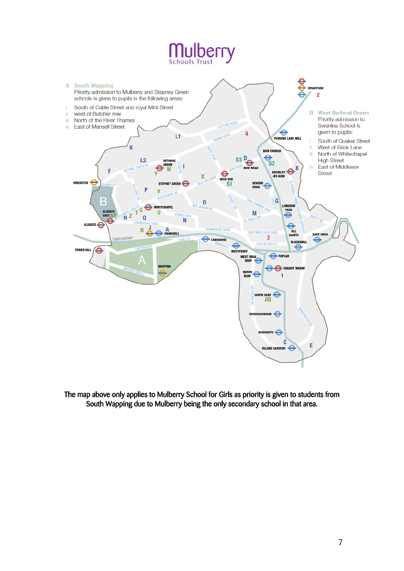# **Mulberry**



The map above only applies to Mulberry School for Girls as priority is given to students from South Wapping due to Mulberry being the only secondary school in that area.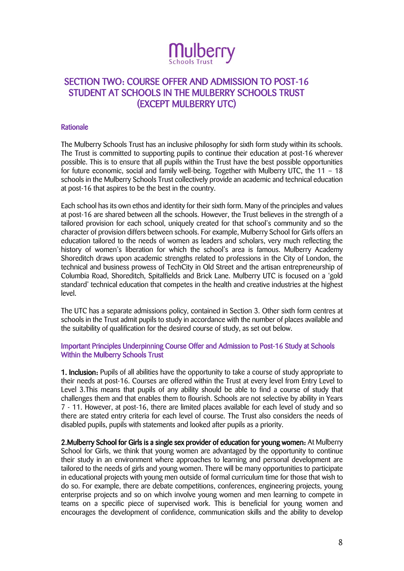

# SECTION TWO: COURSE OFFER AND ADMISSION TO POST-16 STUDENT AT SCHOOLS IN THE MULBERRY SCHOOLS TRUST (EXCEPT MULBERRY UTC)

#### Rationale

The Mulberry Schools Trust has an inclusive philosophy for sixth form study within its schools. The Trust is committed to supporting pupils to continue their education at post-16 wherever possible. This is to ensure that all pupils within the Trust have the best possible opportunities for future economic, social and family well-being. Together with Mulberry UTC, the 11 – 18 schools in the Mulberry Schools Trust collectively provide an academic and technical education at post-16 that aspires to be the best in the country.

Each school has its own ethos and identity for their sixth form. Many of the principles and values at post-16 are shared between all the schools. However, the Trust believes in the strength of a tailored provision for each school, uniquely created for that school's community and so the character of provision differs between schools. For example, Mulberry School for Girls offers an education tailored to the needs of women as leaders and scholars, very much reflecting the history of women's liberation for which the school's area is famous. Mulberry Academy Shoreditch draws upon academic strengths related to professions in the City of London, the technical and business prowess of TechCity in Old Street and the artisan entrepreneurship of Columbia Road, Shoreditch, Spitalfields and Brick Lane. Mulberry UTC is focused on a 'gold standard' technical education that competes in the health and creative industries at the highest level.

The UTC has a separate admissions policy, contained in Section 3. Other sixth form centres at schools in the Trust admit pupils to study in accordance with the number of places available and the suitability of qualification for the desired course of study, as set out below.

#### Important Principles Underpinning Course Offer and Admission to Post-16 Study at Schools Within the Mulberry Schools Trust

1. Inclusion: Pupils of all abilities have the opportunity to take a course of study appropriate to their needs at post-16. Courses are offered within the Trust at every level from Entry Level to Level 3.This means that pupils of any ability should be able to find a course of study that challenges them and that enables them to flourish. Schools are not selective by ability in Years 7 - 11. However, at post-16, there are limited places available for each level of study and so there are stated entry criteria for each level of course. The Trust also considers the needs of disabled pupils, pupils with statements and looked after pupils as a priority.

2.Mulberry School for Girls is a single sex provider of education for young women: At Mulberry School for Girls, we think that young women are advantaged by the opportunity to continue their study in an environment where approaches to learning and personal development are tailored to the needs of girls and young women. There will be many opportunities to participate in educational projects with young men outside of formal curriculum time for those that wish to do so. For example, there are debate competitions, conferences, engineering projects, young enterprise projects and so on which involve young women and men learning to compete in teams on a specific piece of supervised work. This is beneficial for young women and encourages the development of confidence, communication skills and the ability to develop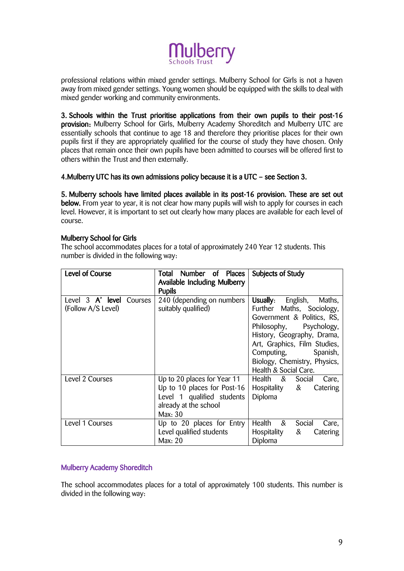

professional relations within mixed gender settings. Mulberry School for Girls is not a haven away from mixed gender settings. Young women should be equipped with the skills to deal with mixed gender working and community environments.

3. Schools within the Trust prioritise applications from their own pupils to their post-16 provision: Mulberry School for Girls, Mulberry Academy Shoreditch and Mulberry UTC are essentially schools that continue to age 18 and therefore they prioritise places for their own pupils first if they are appropriately qualified for the course of study they have chosen. Only places that remain once their own pupils have been admitted to courses will be offered first to others within the Trust and then externally.

#### 4.Mulberry UTC has its own admissions policy because it is a UTC – see Section 3.

5. Mulberry schools have limited places available in its post-16 provision. These are set out below. From year to year, it is not clear how many pupils will wish to apply for courses in each level. However, it is important to set out clearly how many places are available for each level of course.

#### Mulberry School for Girls

The school accommodates places for a total of approximately 240 Year 12 students. This number is divided in the following way:

| <b>Level of Course</b>   | Number of Places<br>Total    | Subjects of Study                 |
|--------------------------|------------------------------|-----------------------------------|
|                          | Available Including Mulberry |                                   |
|                          | <b>Pupils</b>                |                                   |
| Level 3 A' level Courses | 240 (depending on numbers    | Usually:<br>English,<br>Maths,    |
| (Follow A/S Level)       | suitably qualified)          | Further Maths, Sociology,         |
|                          |                              | Government & Politics, RS,        |
|                          |                              | Philosophy, Psychology,           |
|                          |                              | History, Geography, Drama,        |
|                          |                              | Art, Graphics, Film Studies,      |
|                          |                              | Computing,<br>Spanish,            |
|                          |                              | Biology, Chemistry, Physics,      |
|                          |                              | Health & Social Care.             |
| Level 2 Courses          | Up to 20 places for Year 11  | Health & Social<br>Care,          |
|                          | Up to 10 places for Post-16  | &<br>Hospitality<br>Catering      |
|                          | Level 1 qualified students   | Diploma                           |
|                          | already at the school        |                                   |
|                          | Max: 30                      |                                   |
| Level 1 Courses          | Up to 20 places for Entry    | Health<br>$\&$<br>Social<br>Care, |
|                          | Level qualified students     | Hospitality<br>&<br>Catering      |
|                          | Max: 20                      | Diploma                           |

#### Mulberry Academy Shoreditch

The school accommodates places for a total of approximately 100 students. This number is divided in the following way: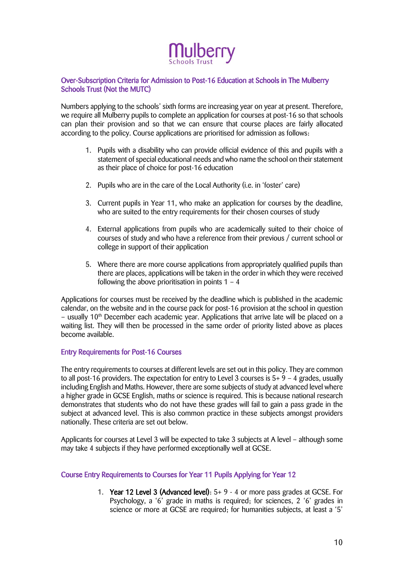

#### Over-Subscription Criteria for Admission to Post-16 Education at Schools in The Mulberry Schools Trust (Not the MUTC)

Numbers applying to the schools' sixth forms are increasing year on year at present. Therefore, we require all Mulberry pupils to complete an application for courses at post-16 so that schools can plan their provision and so that we can ensure that course places are fairly allocated according to the policy. Course applications are prioritised for admission as follows:

- 1. Pupils with a disability who can provide official evidence of this and pupils with a statement of special educational needs and who name the school on their statement as their place of choice for post-16 education
- 2. Pupils who are in the care of the Local Authority (i.e. in 'foster' care)
- 3. Current pupils in Year 11, who make an application for courses by the deadline, who are suited to the entry requirements for their chosen courses of study
- 4. External applications from pupils who are academically suited to their choice of courses of study and who have a reference from their previous / current school or college in support of their application
- 5. Where there are more course applications from appropriately qualified pupils than there are places, applications will be taken in the order in which they were received following the above prioritisation in points  $1 - 4$

Applications for courses must be received by the deadline which is published in the academic calendar, on the website and in the course pack for post-16 provision at the school in question – usually  $10<sup>th</sup>$  December each academic year. Applications that arrive late will be placed on a waiting list. They will then be processed in the same order of priority listed above as places become available.

#### Entry Requirements for Post-16 Courses

The entry requirements to courses at different levels are set out in this policy. They are common to all post-16 providers. The expectation for entry to Level 3 courses is 5+ 9 – 4 grades, usually including English and Maths. However, there are some subjects of study at advanced level where a higher grade in GCSE English, maths or science is required. This is because national research demonstrates that students who do not have these grades will fail to gain a pass grade in the subject at advanced level. This is also common practice in these subjects amongst providers nationally. These criteria are set out below.

Applicants for courses at Level 3 will be expected to take 3 subjects at A level – although some may take 4 subjects if they have performed exceptionally well at GCSE.

#### Course Entry Requirements to Courses for Year 11 Pupils Applying for Year 12

1. Year 12 Level 3 (Advanced level): 5+ 9 - 4 or more pass grades at GCSE. For Psychology, a '6' grade in maths is required; for sciences, 2 '6' grades in science or more at GCSE are required; for humanities subjects, at least a '5'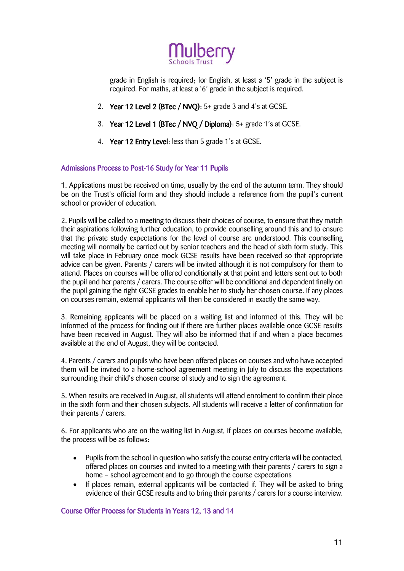

grade in English is required; for English, at least a '5' grade in the subject is required. For maths, at least a '6' grade in the subject is required.

- 2. Year 12 Level 2 (BTec / NVQ): 5+ grade 3 and 4's at GCSE.
- 3. Year 12 Level 1 (BTec / NVQ / Diploma): 5+ grade 1's at GCSE.
- 4. Year 12 Entry Level: less than 5 grade 1's at GCSE.

#### Admissions Process to Post-16 Study for Year 11 Pupils

1. Applications must be received on time, usually by the end of the autumn term. They should be on the Trust's official form and they should include a reference from the pupil's current school or provider of education.

2. Pupils will be called to a meeting to discuss their choices of course, to ensure that they match their aspirations following further education, to provide counselling around this and to ensure that the private study expectations for the level of course are understood. This counselling meeting will normally be carried out by senior teachers and the head of sixth form study. This will take place in February once mock GCSE results have been received so that appropriate advice can be given. Parents / carers will be invited although it is not compulsory for them to attend. Places on courses will be offered conditionally at that point and letters sent out to both the pupil and her parents / carers. The course offer will be conditional and dependent finally on the pupil gaining the right GCSE grades to enable her to study her chosen course. If any places on courses remain, external applicants will then be considered in exactly the same way.

3. Remaining applicants will be placed on a waiting list and informed of this. They will be informed of the process for finding out if there are further places available once GCSE results have been received in August. They will also be informed that if and when a place becomes available at the end of August, they will be contacted.

4. Parents / carers and pupils who have been offered places on courses and who have accepted them will be invited to a home-school agreement meeting in July to discuss the expectations surrounding their child's chosen course of study and to sign the agreement.

5. When results are received in August, all students will attend enrolment to confirm their place in the sixth form and their chosen subjects. All students will receive a letter of confirmation for their parents / carers.

6. For applicants who are on the waiting list in August, if places on courses become available, the process will be as follows:

- Pupils from the school in question who satisfy the course entry criteria will be contacted, offered places on courses and invited to a meeting with their parents / carers to sign a home – school agreement and to go through the course expectations
- If places remain, external applicants will be contacted if. They will be asked to bring evidence of their GCSE results and to bring their parents / carers for a course interview.

#### Course Offer Process for Students in Years 12, 13 and 14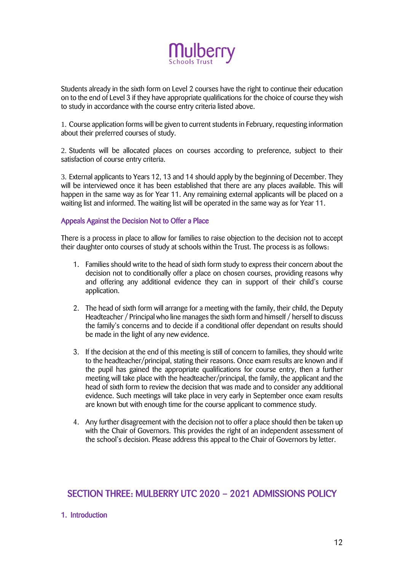

Students already in the sixth form on Level 2 courses have the right to continue their education on to the end of Level 3 if they have appropriate qualifications for the choice of course they wish to study in accordance with the course entry criteria listed above.

1. Course application forms will be given to current students in February, requesting information about their preferred courses of study.

2. Students will be allocated places on courses according to preference, subject to their satisfaction of course entry criteria.

3. External applicants to Years 12, 13 and 14 should apply by the beginning of December. They will be interviewed once it has been established that there are any places available. This will happen in the same way as for Year 11. Any remaining external applicants will be placed on a waiting list and informed. The waiting list will be operated in the same way as for Year 11.

#### Appeals Against the Decision Not to Offer a Place

There is a process in place to allow for families to raise objection to the decision not to accept their daughter onto courses of study at schools within the Trust. The process is as follows:

- 1. Families should write to the head of sixth form study to express their concern about the decision not to conditionally offer a place on chosen courses, providing reasons why and offering any additional evidence they can in support of their child's course application.
- 2. The head of sixth form will arrange for a meeting with the family, their child, the Deputy Headteacher / Principal who line manages the sixth form and himself / herself to discuss the family's concerns and to decide if a conditional offer dependant on results should be made in the light of any new evidence.
- 3. If the decision at the end of this meeting is still of concern to families, they should write to the headteacher/principal, stating their reasons. Once exam results are known and if the pupil has gained the appropriate qualifications for course entry, then a further meeting will take place with the headteacher/principal, the family, the applicant and the head of sixth form to review the decision that was made and to consider any additional evidence. Such meetings will take place in very early in September once exam results are known but with enough time for the course applicant to commence study.
- 4. Any further disagreement with the decision not to offer a place should then be taken up with the Chair of Governors. This provides the right of an independent assessment of the school's decision. Please address this appeal to the Chair of Governors by letter.

### SECTION THREE: MULBERRY UTC 2020 – 2021 ADMISSIONS POLICY

#### 1. Introduction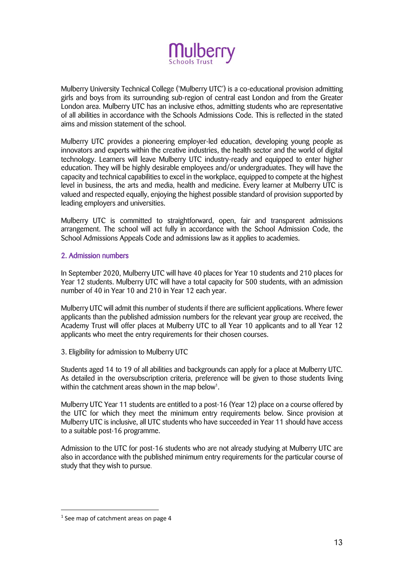

Mulberry University Technical College ('Mulberry UTC') is a co-educational provision admitting girls and boys from its surrounding sub-region of central east London and from the Greater London area. Mulberry UTC has an inclusive ethos, admitting students who are representative of all abilities in accordance with the Schools Admissions Code. This is reflected in the stated aims and mission statement of the school.

Mulberry UTC provides a pioneering employer-led education, developing young people as innovators and experts within the creative industries, the health sector and the world of digital technology. Learners will leave Mulberry UTC industry-ready and equipped to enter higher education. They will be highly desirable employees and/or undergraduates. They will have the capacity and technical capabilities to excel in the workplace, equipped to compete at the highest level in business, the arts and media, health and medicine. Every learner at Mulberry UTC is valued and respected equally, enjoying the highest possible standard of provision supported by leading employers and universities.

Mulberry UTC is committed to straightforward, open, fair and transparent admissions arrangement. The school will act fully in accordance with the School Admission Code, the School Admissions Appeals Code and admissions law as it applies to academies.

#### 2. Admission numbers

In September 2020, Mulberry UTC will have 40 places for Year 10 students and 210 places for Year 12 students. Mulberry UTC will have a total capacity for 500 students, with an admission number of 40 in Year 10 and 210 in Year 12 each year.

Mulberry UTC will admit this number of students if there are sufficient applications. Where fewer applicants than the published admission numbers for the relevant year group are received, the Academy Trust will offer places at Mulberry UTC to all Year 10 applicants and to all Year 12 applicants who meet the entry requirements for their chosen courses.

3. Eligibility for admission to Mulberry UTC

Students aged 14 to 19 of all abilities and backgrounds can apply for a place at Mulberry UTC. As detailed in the oversubscription criteria, preference will be given to those students living within the catchment areas shown in the map below<sup>1</sup>.

Mulberry UTC Year 11 students are entitled to a post-16 (Year 12) place on a course offered by the UTC for which they meet the minimum entry requirements below. Since provision at Mulberry UTC is inclusive, all UTC students who have succeeded in Year 11 should have access to a suitable post-16 programme.

Admission to the UTC for post-16 students who are not already studying at Mulberry UTC are also in accordance with the published minimum entry requirements for the particular course of study that they wish to pursue.

1

<sup>&</sup>lt;sup>1</sup> See map of catchment areas on page 4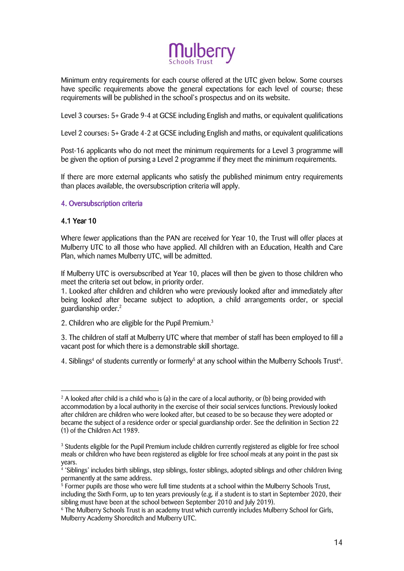

Minimum entry requirements for each course offered at the UTC given below. Some courses have specific requirements above the general expectations for each level of course; these requirements will be published in the school's prospectus and on its website.

Level 3 courses: 5+ Grade 9-4 at GCSE including English and maths, or equivalent qualifications

Level 2 courses: 5+ Grade 4-2 at GCSE including English and maths, or equivalent qualifications

Post-16 applicants who do not meet the minimum requirements for a Level 3 programme will be given the option of pursing a Level 2 programme if they meet the minimum requirements.

If there are more external applicants who satisfy the published minimum entry requirements than places available, the oversubscription criteria will apply.

#### 4. Oversubscription criteria

#### 4.1 Year 10

1

Where fewer applications than the PAN are received for Year 10, the Trust will offer places at Mulberry UTC to all those who have applied. All children with an Education, Health and Care Plan, which names Mulberry UTC, will be admitted.

If Mulberry UTC is oversubscribed at Year 10, places will then be given to those children who meet the criteria set out below, in priority order.

1. Looked after children and children who were previously looked after and immediately after being looked after became subject to adoption, a child arrangements order, or special guardianship order.<sup>2</sup>

2. Children who are eligible for the Pupil Premium.<sup>3</sup>

3. The children of staff at Mulberry UTC where that member of staff has been employed to fill a vacant post for which there is a demonstrable skill shortage.

4. Siblings<sup>4</sup> of students currently or formerly<sup>5</sup> at any school within the Mulberry Schools Trust<sup>6</sup>.

 $2$  A looked after child is a child who is (a) in the care of a local authority, or (b) being provided with accommodation by a local authority in the exercise of their social services functions. Previously looked after children are children who were looked after, but ceased to be so because they were adopted or became the subject of a residence order or special guardianship order. See the definition in Section 22 (1) of the Children Act 1989.

<sup>&</sup>lt;sup>3</sup> Students eligible for the Pupil Premium include children currently registered as eligible for free school meals or children who have been registered as eligible for free school meals at any point in the past six years.

<sup>4</sup> 'Siblings' includes birth siblings, step siblings, foster siblings, adopted siblings and other children living permanently at the same address.

<sup>&</sup>lt;sup>5</sup> Former pupils are those who were full time students at a school within the Mulberry Schools Trust, including the Sixth Form, up to ten years previously (e.g. if a student is to start in September 2020, their sibling must have been at the school between September 2010 and July 2019).

<sup>6</sup> The Mulberry Schools Trust is an academy trust which currently includes Mulberry School for Girls, Mulberry Academy Shoreditch and Mulberry UTC.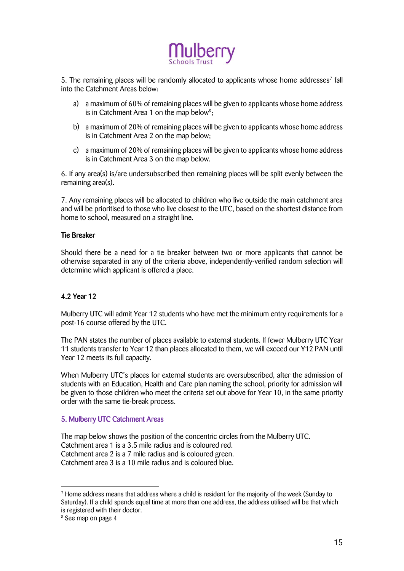

5. The remaining places will be randomly allocated to applicants whose home addresses<sup>7</sup> fall into the Catchment Areas below:

- a) a maximum of 60% of remaining places will be given to applicants whose home address is in Catchment Area 1 on the map below<sup>8</sup>;
- b) a maximum of 20% of remaining places will be given to applicants whose home address is in Catchment Area 2 on the map below;
- c) a maximum of 20% of remaining places will be given to applicants whose home address is in Catchment Area 3 on the map below.

6. If any area(s) is/are undersubscribed then remaining places will be split evenly between the remaining area(s).

7. Any remaining places will be allocated to children who live outside the main catchment area and will be prioritised to those who live closest to the UTC, based on the shortest distance from home to school, measured on a straight line.

#### Tie Breaker

Should there be a need for a tie breaker between two or more applicants that cannot be otherwise separated in any of the criteria above, independently-verified random selection will determine which applicant is offered a place.

### 4.2 Year 12

Mulberry UTC will admit Year 12 students who have met the minimum entry requirements for a post-16 course offered by the UTC.

The PAN states the number of places available to external students. If fewer Mulberry UTC Year 11 students transfer to Year 12 than places allocated to them, we will exceed our Y12 PAN until Year 12 meets its full capacity.

When Mulberry UTC's places for external students are oversubscribed, after the admission of students with an Education, Health and Care plan naming the school, priority for admission will be given to those children who meet the criteria set out above for Year 10, in the same priority order with the same tie-break process.

#### 5. Mulberry UTC Catchment Areas

The map below shows the position of the concentric circles from the Mulberry UTC. Catchment area 1 is a 3.5 mile radius and is coloured red. Catchment area 2 is a 7 mile radius and is coloured green. Catchment area 3 is a 10 mile radius and is coloured blue.

<u>.</u>

 $7$  Home address means that address where a child is resident for the majority of the week (Sunday to Saturday). If a child spends equal time at more than one address, the address utilised will be that which is registered with their doctor.

<sup>8</sup> See map on page 4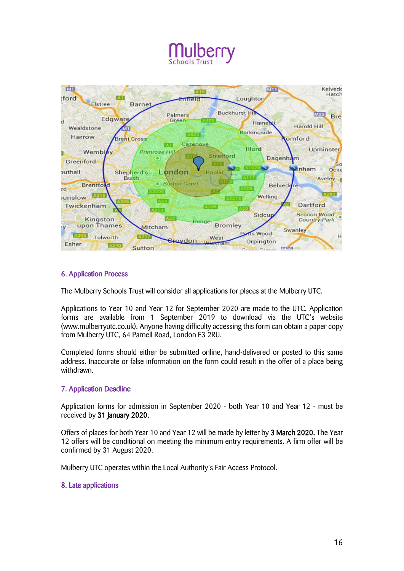

### 6. Application Process

The Mulberry Schools Trust will consider all applications for places at the Mulberry UTC.

Applications to Year 10 and Year 12 for September 2020 are made to the UTC. Application forms are available from 1 September 2019 to download via the UTC's website (www.mulberryutc.co.uk). Anyone having difficulty accessing this form can obtain a paper copy from Mulberry UTC, 64 Parnell Road, London E3 2RU.

Completed forms should either be submitted online, hand-delivered or posted to this same address. Inaccurate or false information on the form could result in the offer of a place being withdrawn.

#### 7. Application Deadline

Application forms for admission in September 2020 - both Year 10 and Year 12 - must be received by 31 January 2020.

Offers of places for both Year 10 and Year 12 will be made by letter by 3 March 2020. The Year 12 offers will be conditional on meeting the minimum entry requirements. A firm offer will be confirmed by 31 August 2020.

Mulberry UTC operates within the Local Authority's Fair Access Protocol.

#### 8. Late applications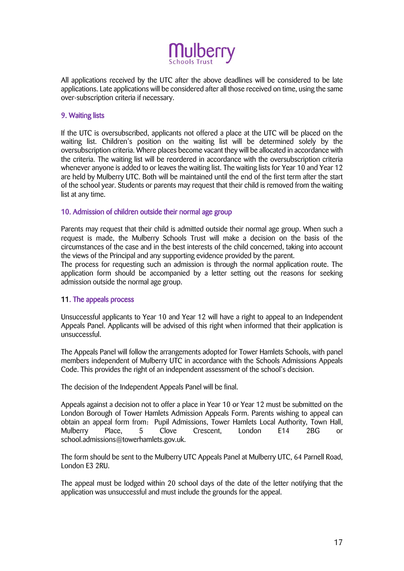

All applications received by the UTC after the above deadlines will be considered to be late applications. Late applications will be considered after all those received on time, using the same over-subscription criteria if necessary.

#### 9. Waiting lists

If the UTC is oversubscribed, applicants not offered a place at the UTC will be placed on the waiting list. Children's position on the waiting list will be determined solely by the oversubscription criteria. Where places become vacant they will be allocated in accordance with the criteria. The waiting list will be reordered in accordance with the oversubscription criteria whenever anyone is added to or leaves the waiting list. The waiting lists for Year 10 and Year 12 are held by Mulberry UTC. Both will be maintained until the end of the first term after the start of the school year. Students or parents may request that their child is removed from the waiting list at any time.

#### 10. Admission of children outside their normal age group

Parents may request that their child is admitted outside their normal age group. When such a request is made, the Mulberry Schools Trust will make a decision on the basis of the circumstances of the case and in the best interests of the child concerned, taking into account the views of the Principal and any supporting evidence provided by the parent.

The process for requesting such an admission is through the normal application route. The application form should be accompanied by a letter setting out the reasons for seeking admission outside the normal age group.

#### 11. The appeals process

Unsuccessful applicants to Year 10 and Year 12 will have a right to appeal to an Independent Appeals Panel. Applicants will be advised of this right when informed that their application is unsuccessful.

The Appeals Panel will follow the arrangements adopted for Tower Hamlets Schools, with panel members independent of Mulberry UTC in accordance with the Schools Admissions Appeals Code. This provides the right of an independent assessment of the school's decision.

The decision of the Independent Appeals Panel will be final.

Appeals against a decision not to offer a place in Year 10 or Year 12 must be submitted on the London Borough of Tower Hamlets Admission Appeals Form. Parents wishing to appeal can obtain an appeal form from: Pupil Admissions, Tower Hamlets Local Authority, Town Hall, Mulberry Place, 5 Clove Crescent, London E14 2BG or school.admissions@towerhamlets.gov.uk.

The form should be sent to the Mulberry UTC Appeals Panel at Mulberry UTC, 64 Parnell Road, London E3 2RU.

The appeal must be lodged within 20 school days of the date of the letter notifying that the application was unsuccessful and must include the grounds for the appeal.